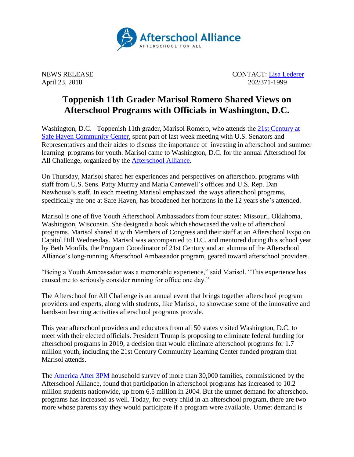

NEWS RELEASE CONTACT: [Lisa Lederer](mailto:lisa@prsolutionsdc.com) April 23, 2018 202/371-1999

## **Toppenish 11th Grader Marisol Romero Shared Views on Afterschool Programs with Officials in Washington, D.C.**

Washington, D.C. –Toppenish 11th grader, Marisol Romero, who attends the 21st [Century at](http://afterschoolncac.com/safe-haven-community-center-2/)  [Safe Haven Community Center,](http://afterschoolncac.com/safe-haven-community-center-2/) spent part of last week meeting with U.S. Senators and Representatives and their aides to discuss the importance of investing in afterschool and summer learning programs for youth. Marisol came to Washington, D.C. for the annual Afterschool for All Challenge, organized by the [Afterschool Alliance.](http://www.afterschoolalliance.org/)

On Thursday, Marisol shared her experiences and perspectives on afterschool programs with staff from U.S. Sens. Patty Murray and Maria Cantewell's offices and U.S. Rep. Dan Newhouse's staff. In each meeting Marisol emphasized the ways afterschool programs, specifically the one at Safe Haven, has broadened her horizons in the 12 years she's attended.

Marisol is one of five Youth Afterschool Ambassadors from four states: Missouri, Oklahoma, Washington, Wisconsin. She designed a book which showcased the value of afterschool programs. Marisol shared it with Members of Congress and their staff at an Afterschool Expo on Capitol Hill Wednesday. Marisol was accompanied to D.C. and mentored during this school year by Beth Monfils, the Program Coordinator of 21st Century and an alumna of the Afterschool Alliance's long-running Afterschool Ambassador program, geared toward afterschool providers.

"Being a Youth Ambassador was a memorable experience," said Marisol. "This experience has caused me to seriously consider running for office one day."

The Afterschool for All Challenge is an annual event that brings together afterschool program providers and experts, along with students, like Marisol, to showcase some of the innovative and hands-on learning activities afterschool programs provide.

This year afterschool providers and educators from all 50 states visited Washington, D.C. to meet with their elected officials. President Trump is proposing to eliminate federal funding for afterschool programs in 2019, a decision that would eliminate afterschool programs for 1.7 million youth, including the 21st Century Community Learning Center funded program that Marisol attends.

The [America After 3PM](http://www.afterschoolalliance.org/AA3PM/) household survey of more than 30,000 families, commissioned by the Afterschool Alliance, found that participation in afterschool programs has increased to 10.2 million students nationwide, up from 6.5 million in 2004. But the unmet demand for afterschool programs has increased as well. Today, for every child in an afterschool program, there are two more whose parents say they would participate if a program were available. Unmet demand is